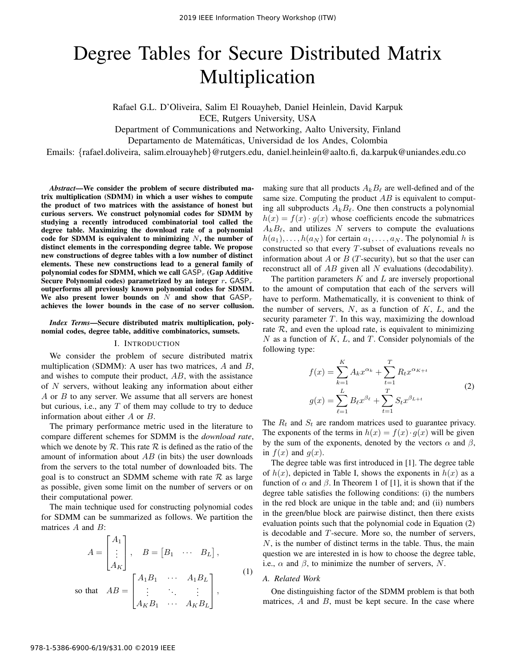# Degree Tables for Secure Distributed Matrix Multiplication

Rafael G.L. D'Oliveira, Salim El Rouayheb, Daniel Heinlein, David Karpuk

ECE, Rutgers University, USA

Department of Communications and Networking, Aalto University, Finland

Departamento de Matematicas, Universidad de los Andes, Colombia ´

Emails: {rafael.doliveira, salim.elrouayheb}@rutgers.edu, daniel.heinlein@aalto.fi, da.karpuk@uniandes.edu.co

*Abstract*—We consider the problem of secure distributed matrix multiplication (SDMM) in which a user wishes to compute the product of two matrices with the assistance of honest but curious servers. We construct polynomial codes for SDMM by studying a recently introduced combinatorial tool called the degree table. Maximizing the download rate of a polynomial code for SDMM is equivalent to minimizing  $N$ , the number of distinct elements in the corresponding degree table. We propose new constructions of degree tables with a low number of distinct elements. These new constructions lead to a general family of polynomial codes for SDMM, which we call  $\mathsf{GASP}_r$  (Gap Additive Secure Polynomial codes) parametrized by an integer r.  $GASP_r$ outperforms all previously known polynomial codes for SDMM. We also present lower bounds on  $N$  and show that  $GASP_r$ achieves the lower bounds in the case of no server collusion.

*Index Terms*—Secure distributed matrix multiplication, polynomial codes, degree table, additive combinatorics, sumsets.

## I. INTRODUCTION

We consider the problem of secure distributed matrix multiplication (SDMM): A user has two matrices,  $A$  and  $B$ , and wishes to compute their product, AB, with the assistance of N servers, without leaking any information about either  $A$  or  $B$  to any server. We assume that all servers are honest but curious, i.e., any  $T$  of them may collude to try to deduce information about either A or B.

The primary performance metric used in the literature to compare different schemes for SDMM is the *download rate*, which we denote by  $R$ . This rate  $R$  is defined as the ratio of the amount of information about  $AB$  (in bits) the user downloads from the servers to the total number of downloaded bits. The goal is to construct an SDMM scheme with rate  $\mathcal R$  as large as possible, given some limit on the number of servers or on their computational power.

The main technique used for constructing polynomial codes for SDMM can be summarized as follows. We partition the matrices A and B:

$$
A = \begin{bmatrix} A_1 \\ \vdots \\ A_K \end{bmatrix}, \quad B = \begin{bmatrix} B_1 & \cdots & B_L \end{bmatrix},
$$
  
so that 
$$
AB = \begin{bmatrix} A_1 B_1 & \cdots & A_1 B_L \\ \vdots & \ddots & \vdots \\ A_K B_1 & \cdots & A_K B_L \end{bmatrix},
$$
<sup>(1)</sup>

making sure that all products  $A_k B_\ell$  are well-defined and of the same size. Computing the product  $AB$  is equivalent to computing all subproducts  $A_k B_\ell$ . One then constructs a polynomial  $h(x) = f(x) \cdot g(x)$  whose coefficients encode the submatrices  $A_kB_\ell$ , and utilizes N servers to compute the evaluations  $h(a_1), \ldots, h(a_N)$  for certain  $a_1, \ldots, a_N$ . The polynomial h is constructed so that every T-subset of evaluations reveals no information about A or B (T-security), but so that the user can reconstruct all of  $AB$  given all N evaluations (decodability).

The partition parameters  $K$  and  $L$  are inversely proportional to the amount of computation that each of the servers will have to perform. Mathematically, it is convenient to think of the number of servers,  $N$ , as a function of  $K$ ,  $L$ , and the security parameter  $T$ . In this way, maximizing the download rate  $\mathcal{R}$ , and even the upload rate, is equivalent to minimizing  $N$  as a function of  $K$ ,  $L$ , and  $T$ . Consider polynomials of the following type:

$$
f(x) = \sum_{k=1}^{K} A_k x^{\alpha_k} + \sum_{t=1}^{T} R_t x^{\alpha_{K+t}}
$$
  

$$
g(x) = \sum_{\ell=1}^{L} B_\ell x^{\beta_\ell} + \sum_{t=1}^{T} S_t x^{\beta_{L+t}}
$$
 (2)

The  $R_t$  and  $S_t$  are random matrices used to guarantee privacy. The exponents of the terms in  $h(x) = f(x) \cdot g(x)$  will be given by the sum of the exponents, denoted by the vectors  $\alpha$  and  $\beta$ , in  $f(x)$  and  $g(x)$ .

The degree table was first introduced in [1]. The degree table of  $h(x)$ , depicted in Table I, shows the exponents in  $h(x)$  as a function of  $\alpha$  and  $\beta$ . In Theorem 1 of [1], it is shown that if the degree table satisfies the following conditions: (i) the numbers in the red block are unique in the table and; and (ii) numbers in the green/blue block are pairwise distinct, then there exists evaluation points such that the polynomial code in Equation (2) is decodable and T-secure. More so, the number of servers,  $N$ , is the number of distinct terms in the table. Thus, the main question we are interested in is how to choose the degree table, i.e.,  $\alpha$  and  $\beta$ , to minimize the number of servers, N.

### *A. Related Work*

One distinguishing factor of the SDMM problem is that both matrices,  $A$  and  $B$ , must be kept secure. In the case where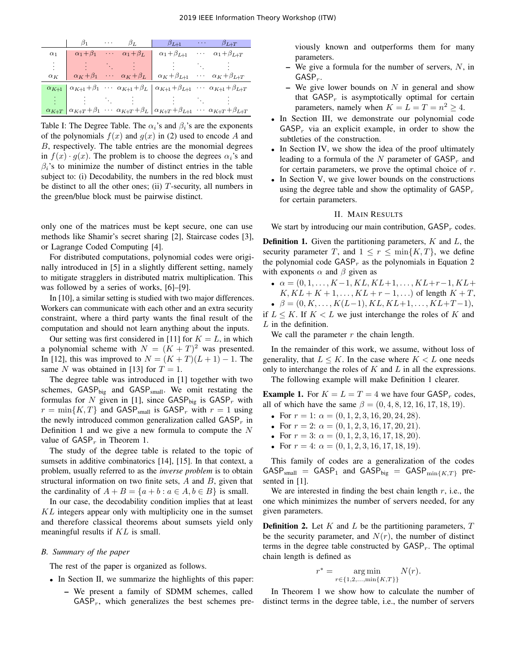|            | $\beta_1$ | $\sim$ $\sim$ $\sim$ $\sim$ | Þт. | $\beta_{L+1}$                                                                                                                                          | $\cdots$                        | $\beta_{L+T}$                   |
|------------|-----------|-----------------------------|-----|--------------------------------------------------------------------------------------------------------------------------------------------------------|---------------------------------|---------------------------------|
| $\alpha_1$ |           |                             |     | $\alpha_1+\beta_1$ $\cdots$ $\alpha_1+\beta_L$ $\alpha_1+\beta_{L+1}$                                                                                  | $\mathbf{r} \cdot \mathbf{r}$ . | $\alpha_1+\beta_{L+T}$          |
|            |           |                             |     |                                                                                                                                                        |                                 |                                 |
| $\alpha_K$ |           |                             |     | $\alpha_K + \beta_1$ $\cdots$ $\alpha_K + \beta_L$ $\alpha_K + \beta_{L+1}$                                                                            |                                 | $\cdots \alpha_K + \beta_{L+T}$ |
|            |           |                             |     | $\alpha_{K+1}$ $\alpha_{K+1}$ + $\beta_1$ $\cdots$ $\alpha_{K+1}$ + $\beta_L$   $\alpha_{K+1}$ + $\beta_{L+1}$ $\cdots$ $\alpha_{K+1}$ + $\beta_{L+T}$ |                                 |                                 |
|            |           |                             |     |                                                                                                                                                        |                                 |                                 |
|            |           |                             |     | $\alpha_{K+T}$ $\alpha_{K+T}$ + $\beta_1$ $\cdots$ $\alpha_{K+T}$ + $\beta_L$ $\alpha_{K+T}$ + $\beta_{L+1}$ $\cdots$ $\alpha_{K+T}$ + $\beta_{L+T}$   |                                 |                                 |

Table I: The Degree Table. The  $\alpha_i$ 's and  $\beta_i$ 's are the exponents of the polynomials  $f(x)$  and  $g(x)$  in (2) used to encode A and B, respectively. The table entries are the monomial degrees in  $f(x) \cdot g(x)$ . The problem is to choose the degrees  $\alpha_i$ 's and  $\beta_i$ 's to minimize the number of distinct entries in the table subject to: (i) Decodability, the numbers in the red block must be distinct to all the other ones; (ii) T-security, all numbers in the green/blue block must be pairwise distinct.

only one of the matrices must be kept secure, one can use methods like Shamir's secret sharing [2], Staircase codes [3], or Lagrange Coded Computing [4].

For distributed computations, polynomial codes were originally introduced in [5] in a slightly different setting, namely to mitigate stragglers in distributed matrix multiplication. This was followed by a series of works, [6]–[9].

In [10], a similar setting is studied with two major differences. Workers can communicate with each other and an extra security constraint, where a third party wants the final result of the computation and should not learn anything about the inputs.

Our setting was first considered in [11] for  $K = L$ , in which a polynomial scheme with  $N = (K + T)^2$  was presented. In [12], this was improved to  $N = (K + T)(L + 1) - 1$ . The same N was obtained in [13] for  $T = 1$ .

The degree table was introduced in [1] together with two schemes,  $GASP_{big}$  and  $GASP_{small}$ . We omit restating the formulas for N given in [1], since  $\text{GASP}_{\text{big}}$  is  $\text{GASP}_r$  with  $r = \min\{K, T\}$  and GASP<sub>small</sub> is GASP<sub>r</sub> with  $r = 1$  using the newly introduced common generalization called  $GASP<sub>r</sub>$  in Definition 1 and we give a new formula to compute the  $N$ value of  $GASP<sub>r</sub>$  in Theorem 1.

The study of the degree table is related to the topic of sumsets in additive combinatorics [14], [15]. In that context, a problem, usually referred to as the *inverse problem* is to obtain structural information on two finite sets, A and B, given that the cardinality of  $A + B = \{a + b : a \in A, b \in B\}$  is small.

In our case, the decodability condition implies that at least KL integers appear only with multiplicity one in the sumset and therefore classical theorems about sumsets yield only meaningful results if KL is small.

# *B. Summary of the paper*

The rest of the paper is organized as follows.

- In Section II, we summarize the highlights of this paper:
	- We present a family of SDMM schemes, called  $GASP<sub>r</sub>$ , which generalizes the best schemes pre-

viously known and outperforms them for many parameters.

- We give a formula for the number of servers,  $N$ , in  $GASP_r$ .
- We give lower bounds on  $N$  in general and show that  $GASP<sub>r</sub>$  is asymptotically optimal for certain parameters, namely when  $K = L = T = n^2 \ge 4$ .
- In Section III, we demonstrate our polynomial code  $GASP<sub>r</sub>$  via an explicit example, in order to show the subtleties of the construction.
- In Section IV, we show the idea of the proof ultimately leading to a formula of the  $N$  parameter of  $GASP<sub>r</sub>$  and for certain parameters, we prove the optimal choice of  $r$ .
- In Section V, we give lower bounds on the constructions using the degree table and show the optimality of  $GASP<sub>r</sub>$ for certain parameters.

# II. MAIN RESULTS

We start by introducing our main contribution,  $GASP<sub>r</sub>$  codes.

**Definition 1.** Given the partitioning parameters,  $K$  and  $L$ , the security parameter T, and  $1 \leq r \leq \min\{K, T\}$ , we define the polynomial code  $GASP<sub>r</sub>$  as the polynomials in Equation 2 with exponents  $\alpha$  and  $\beta$  given as

- $\alpha = (0, 1, \ldots, K-1, KL, KL+1, \ldots, KL+r-1, KL+$  $K, KL + K + 1, \ldots, KL + r - 1, \ldots$  of length  $K + T$ ,
- $\beta = (0, K, \ldots, K(L-1), KL, KL+1, \ldots, KL+T-1),$

if  $L \leq K$ . If  $K \leq L$  we just interchange the roles of K and  $L$  in the definition.

We call the parameter  $r$  the chain length.

In the remainder of this work, we assume, without loss of generality, that  $L \leq K$ . In the case where  $K < L$  one needs only to interchange the roles of  $K$  and  $L$  in all the expressions.

The following example will make Definition 1 clearer.

**Example 1.** For  $K = L = T = 4$  we have four GASP<sub>r</sub> codes, all of which have the same  $\beta = (0, 4, 8, 12, 16, 17, 18, 19)$ .

- For  $r = 1$ :  $\alpha = (0, 1, 2, 3, 16, 20, 24, 28)$ .
- For  $r = 2$ :  $\alpha = (0, 1, 2, 3, 16, 17, 20, 21)$ .
- For  $r = 3$ :  $\alpha = (0, 1, 2, 3, 16, 17, 18, 20)$ .
- For  $r = 4$ :  $\alpha = (0, 1, 2, 3, 16, 17, 18, 19)$ .

This family of codes are a generalization of the codes  $GASP_{small} = GASP_1$  and  $GASP_{big} = GASP_{min{K,T}}$  presented in [1].

We are interested in finding the best chain length  $r$ , i.e., the one which minimizes the number of servers needed, for any given parameters.

**Definition 2.** Let  $K$  and  $L$  be the partitioning parameters,  $T$ be the security parameter, and  $N(r)$ , the number of distinct terms in the degree table constructed by  $GASP_r$ . The optimal chain length is defined as

$$
r^* = \underset{r \in \{1, 2, \dots, \min\{K, T\}\}}{\arg \min} N(r).
$$

<sup>1</sup>

In Theorem 1 we show how to calculate the number of distinct terms in the degree table, i.e., the number of servers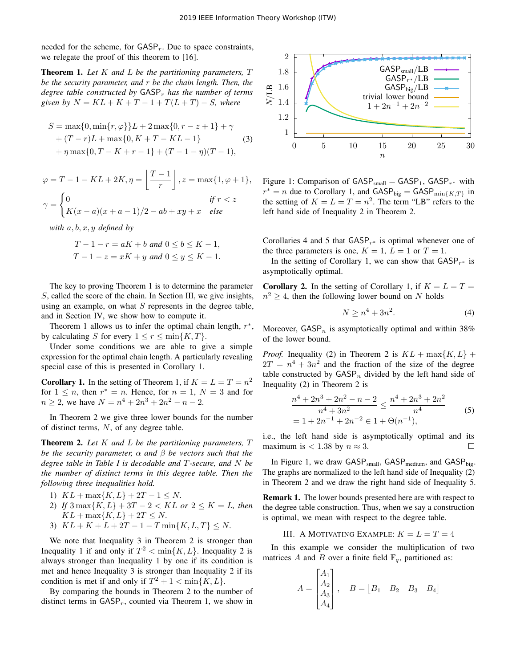needed for the scheme, for  $GASP<sub>r</sub>$ . Due to space constraints, we relegate the proof of this theorem to [16].

Theorem 1. *Let* K *and* L *be the partitioning parameters,* T *be the security parameter, and* r *be the chain length. Then, the degree table constructed by GASP<sub>r</sub> has the number of terms given by*  $N = KL + K + T - 1 + T(L + T) - S$ *, where* 

$$
S = \max\{0, \min\{r, \varphi\}\}L + 2\max\{0, r - z + 1\} + \gamma
$$
  
+  $(T - r)L + \max\{0, K + T - KL - 1\}$  (3)  
+  $\eta \max\{0, T - K + r - 1\} + (T - 1 - \eta)(T - 1),$ 

$$
\varphi = T - 1 - KL + 2K, \eta = \left\lfloor \frac{T-1}{r} \right\rfloor, z = \max\{1, \varphi + 1\},
$$

$$
\gamma = \begin{cases} 0 & \text{if } r < z \\ K(x - a)(x + a - 1)/2 - ab + xy + x & \text{else} \end{cases}
$$

*with* a, b, x, y *defined by*

$$
T-1-r = aK + b
$$
 and 
$$
0 \le b \le K - 1,
$$
  

$$
T-1-z = xK + y
$$
 and 
$$
0 \le y \le K - 1.
$$

The key to proving Theorem 1 is to determine the parameter S, called the score of the chain. In Section III, we give insights, using an example, on what  $S$  represents in the degree table, and in Section IV, we show how to compute it.

Theorem 1 allows us to infer the optimal chain length,  $r^*$ , by calculating S for every  $1 \le r \le \min\{K, T\}$ .

Under some conditions we are able to give a simple expression for the optimal chain length. A particularly revealing special case of this is presented in Corollary 1.

**Corollary 1.** In the setting of Theorem 1, if  $K = L = T = n^2$ for  $1 \leq n$ , then  $r^* = n$ . Hence, for  $n = 1$ ,  $N = 3$  and for  $n \geq 2$ , we have  $N = n^4 + 2n^3 + 2n^2 - n - 2$ .

In Theorem 2 we give three lower bounds for the number of distinct terms, N, of any degree table.

Theorem 2. *Let* K *and* L *be the partitioning parameters,* T *be the security parameter,* α *and* β *be vectors such that the degree table in Table I is decodable and* T*-secure, and* N *be the number of distinct terms in this degree table. Then the following three inequalities hold.*

- 1)  $KL + \max\{K, L\} + 2T 1 \leq N$ .
- 2) *If*  $3 \max\{K, L\} + 3T 2 < KL$  *or*  $2 \le K = L$ *, then*  $KL + \max\{K, L\} + 2T \leq N$ .
- 3)  $KL + K + L + 2T 1 T \min\{K, L, T\} \leq N$ .

We note that Inequality 3 in Theorem 2 is stronger than Inequality 1 if and only if  $T^2 < \min\{K, L\}$ . Inequality 2 is always stronger than Inequality 1 by one if its condition is met and hence Inequality 3 is stronger than Inequality 2 if its condition is met if and only if  $T^2 + 1 < \min\{K, L\}$ .

By comparing the bounds in Theorem 2 to the number of distinct terms in  $GASP<sub>r</sub>$ , counted via Theorem 1, we show in



Figure 1: Comparison of  $GASP_{small} = GASP_1$ ,  $GASP_{r^*}$  with  $r^* = n$  due to Corollary 1, and  $GASP_{big} = GASP_{min{K,T}}$  in the setting of  $K = L = T = n^2$ . The term "LB" refers to the left hand side of Inequality 2 in Theorem 2.

Corollaries 4 and 5 that  $GASP_{r^*}$  is optimal whenever one of the three parameters is one,  $K = 1$ ,  $L = 1$  or  $T = 1$ .

In the setting of Corollary 1, we can show that  $GASP_{r^*}$  is asymptotically optimal.

**Corollary 2.** In the setting of Corollary 1, if  $K = L = T =$  $n^2 \geq 4$ , then the following lower bound on N holds

$$
N \ge n^4 + 3n^2. \tag{4}
$$

Moreover,  $GASP_n$  is asymptotically optimal and within 38% of the lower bound.

*Proof.* Inequality (2) in Theorem 2 is  $KL + \max\{K, L\}$  +  $2T = n^4 + 3n^2$  and the fraction of the size of the degree table constructed by  $GASP_n$  divided by the left hand side of Inequality (2) in Theorem 2 is

$$
\frac{n^4 + 2n^3 + 2n^2 - n - 2}{n^4 + 3n^2} \le \frac{n^4 + 2n^3 + 2n^2}{n^4}
$$
\n
$$
= 1 + 2n^{-1} + 2n^{-2} \in 1 + \Theta(n^{-1}),
$$
\n(5)

i.e., the left hand side is asymptotically optimal and its maximum is  $< 1.38$  by  $n \approx 3$ . П

In Figure 1, we draw  $GASP_{small}$ ,  $GASP_{medium}$ , and  $GASP_{big}$ . The graphs are normalized to the left hand side of Inequality (2) in Theorem 2 and we draw the right hand side of Inequality 5.

Remark 1. The lower bounds presented here are with respect to the degree table construction. Thus, when we say a construction is optimal, we mean with respect to the degree table.

# III. A MOTIVATING EXAMPLE:  $K = L = T = 4$

In this example we consider the multiplication of two matrices A and B over a finite field  $\mathbb{F}_q$ , partitioned as:

$$
A = \begin{bmatrix} A_1 \\ A_2 \\ A_3 \\ A_4 \end{bmatrix}, \quad B = \begin{bmatrix} B_1 & B_2 & B_3 & B_4 \end{bmatrix}
$$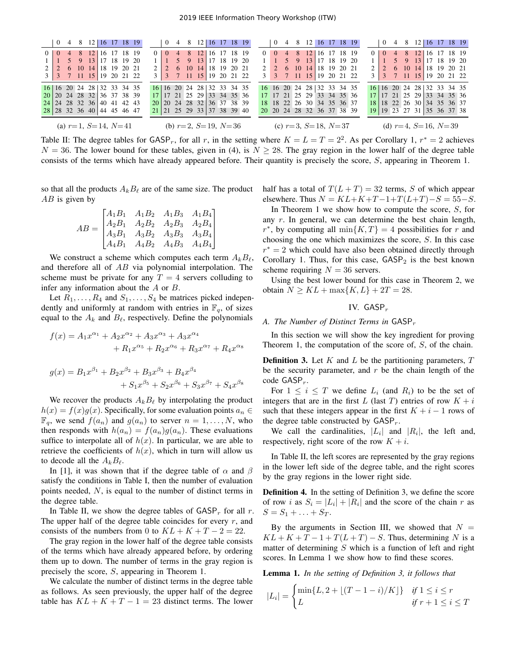|                             |          | $0\quad 4$ |  |                            |  |  | 8 12 16 17 18 19            |                |          |       |  | 0 4 8 12 16 17 18 19           |  |  |             |                             |          |          |  |  |                                                                      |  |  |                             | $0 \quad 4 \quad 8 \quad 12 \quad 16 \quad 17 \quad 18 \quad 19$ |                 |                  | $0 \quad 4 \quad 8 \quad 12 \mid 16 \quad 17 \quad 18 \quad 19$ |  |                     |  |  |  |  |
|-----------------------------|----------|------------|--|----------------------------|--|--|-----------------------------|----------------|----------|-------|--|--------------------------------|--|--|-------------|-----------------------------|----------|----------|--|--|----------------------------------------------------------------------|--|--|-----------------------------|------------------------------------------------------------------|-----------------|------------------|-----------------------------------------------------------------|--|---------------------|--|--|--|--|
| $\Omega$                    | $\Omega$ |            |  | 4 8 12 16 17 18 19         |  |  |                             | 0 <sup>1</sup> | $\theta$ | $-4-$ |  | 8 12                           |  |  | 16 17 18 19 |                             | $\Omega$ | $\theta$ |  |  | 4 8 12 16 17 18 19                                                   |  |  |                             |                                                                  | $\Omega$        | $\left( \right)$ |                                                                 |  | 4 8 12 16 17 18 19  |  |  |  |  |
|                             |          |            |  | 5 9 13 17 18 19 20         |  |  |                             |                |          |       |  | 5 9 13 17 18 19 20             |  |  |             |                             |          |          |  |  | 5 9 13 17 18 19 20                                                   |  |  |                             |                                                                  |                 |                  |                                                                 |  | 5 9 13 17 18 19 20  |  |  |  |  |
|                             |          |            |  | 2 6 10 14 18 19 20 21      |  |  |                             |                |          |       |  | 6 10 14 18 19 20 21            |  |  |             |                             |          |          |  |  | 6 10 14 18 19 20 21                                                  |  |  |                             |                                                                  |                 |                  |                                                                 |  | 6 10 14 18 19 20 21 |  |  |  |  |
|                             |          |            |  |                            |  |  | 3 3 7 11 15 19 20 21 22     |                |          |       |  | 3 3 7 11 15 19 20 21 22        |  |  |             |                             |          |          |  |  | 3 7 11 15 19 20 21 22                                                |  |  |                             |                                                                  |                 |                  | 3 3 7 11 15 19 20 21 22                                         |  |                     |  |  |  |  |
|                             |          |            |  | 16 16 20 24 28 32 33 34 35 |  |  |                             |                |          |       |  | 16 16 20 24 28 32 33 34 35     |  |  |             |                             |          |          |  |  | 16 16 20 24 28 32 33 34 35                                           |  |  |                             |                                                                  |                 |                  | 16 16 20 24 28 32 33 34 35                                      |  |                     |  |  |  |  |
|                             |          |            |  | 20 20 24 28 32 36 37 38 39 |  |  |                             |                |          |       |  | 17   17 21 25 29   33 34 35 36 |  |  |             |                             |          |          |  |  | $17 \mid 17 \mid 21 \mid 25 \mid 29 \mid 33 \mid 34 \mid 35 \mid 36$ |  |  |                             |                                                                  |                 |                  | 17 17 21 25 29 33 34 35 36                                      |  |                     |  |  |  |  |
|                             |          |            |  | 24 24 28 32 36 40 41 42 43 |  |  |                             |                |          |       |  | 20 20 24 28 32 36 37 38 39     |  |  |             |                             |          |          |  |  | 18 18 22 26 30 34 35 36 37                                           |  |  |                             |                                                                  | 18 <sup>1</sup> |                  | 18 22 26 30 34 35 36 37                                         |  |                     |  |  |  |  |
|                             |          |            |  | 28 28 32 36 40 44 45 46 47 |  |  |                             |                |          |       |  | 21 21 25 29 33 37 38 39 40     |  |  |             |                             |          |          |  |  | 20 20 24 28 32 36 37 38 39                                           |  |  |                             |                                                                  |                 |                  | 19 19 23 27 31 35 36 37 38                                      |  |                     |  |  |  |  |
| (a) $r=1$ , $S=14$ , $N=41$ |          |            |  |                            |  |  | (b) $r=2$ , $S=19$ , $N=36$ |                |          |       |  |                                |  |  |             | (c) $r=3$ , $S=18$ , $N=37$ |          |          |  |  |                                                                      |  |  | (d) $r=4$ , $S=16$ , $N=39$ |                                                                  |                 |                  |                                                                 |  |                     |  |  |  |  |

Table II: The degree tables for GASP, for all r, in the setting where  $K = L = T = 2^2$ . As per Corollary 1,  $r^* = 2$  achieves  $N = 36$ . The lower bound for these tables, given in (4), is  $N \ge 28$ . The gray region in the lower half of the degree table consists of the terms which have already appeared before. Their quantity is precisely the score, S, appearing in Theorem 1.

so that all the products  $A_k B_\ell$  are of the same size. The product  $AB$  is given by

$$
AB = \begin{bmatrix} A_1B_1 & A_1B_2 & A_1B_3 & A_1B_4 \\ A_2B_1 & A_2B_2 & A_2B_3 & A_2B_4 \\ A_3B_1 & A_3B_2 & A_3B_3 & A_3B_4 \\ A_4B_1 & A_4B_2 & A_4B_3 & A_4B_4 \end{bmatrix}
$$

We construct a scheme which computes each term  $A_kB_\ell$ , and therefore all of AB via polynomial interpolation. The scheme must be private for any  $T = 4$  servers colluding to infer any information about the A or B.

Let  $R_1, \ldots, R_4$  and  $S_1, \ldots, S_4$  be matrices picked independently and uniformly at random with entries in  $\mathbb{F}_q$ , of sizes equal to the  $A_k$  and  $B_\ell$ , respectively. Define the polynomials

$$
f(x) = A_1 x^{\alpha_1} + A_2 x^{\alpha_2} + A_3 x^{\alpha_3} + A_3 x^{\alpha_4} + R_1 x^{\alpha_5} + R_2 x^{\alpha_6} + R_3 x^{\alpha_7} + R_4 x^{\alpha_8}
$$

$$
g(x) = B_1 x^{\beta_1} + B_2 x^{\beta_2} + B_3 x^{\beta_3} + B_4 x^{\beta_4}
$$
  
+  $S_1 x^{\beta_5} + S_2 x^{\beta_6} + S_3 x^{\beta_7} + S_4 x^{\beta_8}$ 

We recover the products  $A_k B_\ell$  by interpolating the product  $h(x) = f(x)g(x)$ . Specifically, for some evaluation points  $a_n \in$  $\mathbb{F}_q$ , we send  $f(a_n)$  and  $g(a_n)$  to server  $n = 1, \ldots, N$ , who then responds with  $h(a_n) = f(a_n)g(a_n)$ . These evaluations suffice to interpolate all of  $h(x)$ . In particular, we are able to retrieve the coefficients of  $h(x)$ , which in turn will allow us to decode all the  $A_k B_\ell$ .

In [1], it was shown that if the degree table of  $\alpha$  and  $\beta$ satisfy the conditions in Table I, then the number of evaluation points needed, N, is equal to the number of distinct terms in the degree table.

In Table II, we show the degree tables of  $\mathsf{GASP}_r$  for all r. The upper half of the degree table coincides for every  $r$ , and consists of the numbers from 0 to  $KL + K + T - 2 = 22$ .

The gray region in the lower half of the degree table consists of the terms which have already appeared before, by ordering them up to down. The number of terms in the gray region is precisely the score, S, appearing in Theorem 1.

We calculate the number of distinct terms in the degree table as follows. As seen previously, the upper half of the degree table has  $KL + K + T - 1 = 23$  distinct terms. The lower half has a total of  $T(L+T) = 32$  terms, S of which appear elsewhere. Thus  $N = KL+K+T-1+T(L+T)-S = 55-S$ .

In Theorem 1 we show how to compute the score,  $S$ , for any  $r$ . In general, we can determine the best chain length, r<sup>\*</sup>, by computing all  $\min\{K,T\} = 4$  possibilities for r and choosing the one which maximizes the score, S. In this case  $r^* = 2$  which could have also been obtained directly through Corollary 1. Thus, for this case,  $GASP<sub>2</sub>$  is the best known scheme requiring  $N = 36$  servers.

Using the best lower bound for this case in Theorem 2, we obtain  $N \ge KL + \max\{K, L\} + 2T = 28$ .

# IV.  $GASP_r$

# *A. The Number of Distinct Terms in GASP<sub>r</sub>*

In this section we will show the key ingredient for proving Theorem 1, the computation of the score of, S, of the chain.

**Definition 3.** Let  $K$  and  $L$  be the partitioning parameters,  $T$ be the security parameter, and  $r$  be the chain length of the code  $GASP_r$ .

For  $1 \leq i \leq T$  we define  $L_i$  (and  $R_i$ ) to be the set of integers that are in the first L (last T) entries of row  $K + i$ such that these integers appear in the first  $K + i - 1$  rows of the degree table constructed by  $GASP_r$ .

We call the cardinalities,  $|L_i|$  and  $|R_i|$ , the left and, respectively, right score of the row  $K + i$ .

In Table II, the left scores are represented by the gray regions in the lower left side of the degree table, and the right scores by the gray regions in the lower right side.

Definition 4. In the setting of Definition 3, we define the score of row *i* as  $S_i = |L_i| + |R_i|$  and the score of the chain *r* as  $S = S_1 + \ldots + S_T.$ 

By the arguments in Section III, we showed that  $N =$  $KL + K + T - 1 + T(L + T) - S$ . Thus, determining N is a matter of determining  $S$  which is a function of left and right scores. In Lemma 1 we show how to find these scores.

Lemma 1. *In the setting of Definition 3, it follows that*

$$
|L_i| = \begin{cases} \min\{L, 2 + \lfloor (T - 1 - i)/K \rfloor\} & \text{if } 1 \le i \le r \\ L & \text{if } r + 1 \le i \le T \end{cases}
$$